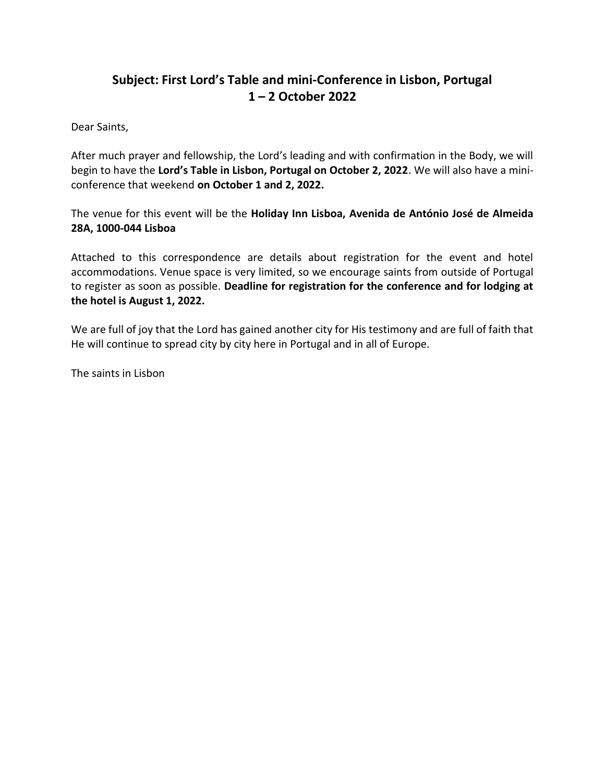# **Subject: First Lord's Table and mini-Conference in Lisbon, Portugal 1 – 2 October 2022**

Dear Saints,

After much prayer and fellowship, the Lord's leading and with confirmation in the Body, we will begin to have the **Lord's Table in Lisbon, Portugal on October 2, 2022**. We will also have a miniconference that weekend **on October 1 and 2, 2022.**

The venue for this event will be the **Holiday Inn Lisboa, Avenida de António José de Almeida 28A, 1000-044 Lisboa**

Attached to this correspondence are details about registration for the event and hotel accommodations. Venue space is very limited, so we encourage saints from outside of Portugal to register as soon as possible. **Deadline for registration for the conference and for lodging at the hotel is August 1, 2022.**

We are full of joy that the Lord has gained another city for His testimony and are full of faith that He will continue to spread city by city here in Portugal and in all of Europe.

The saints in Lisbon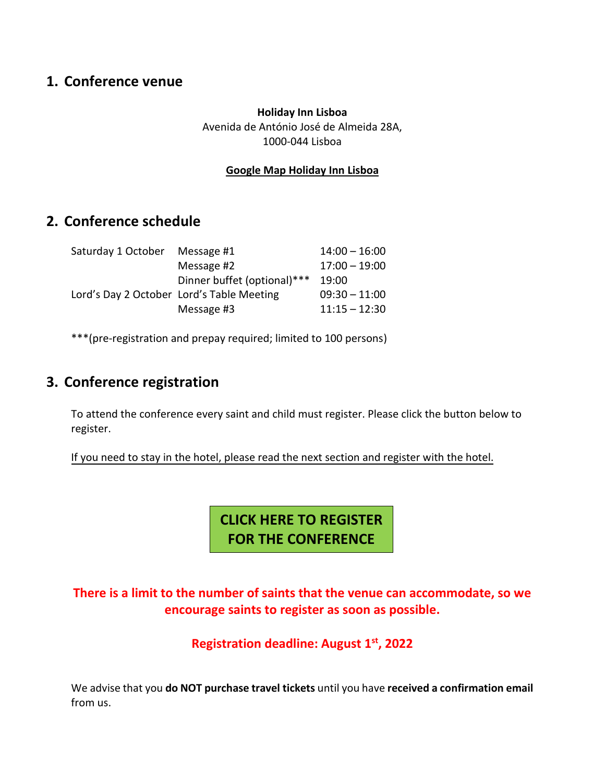# **1. Conference venue**

## **Holiday Inn Lisboa** Avenida de António José de Almeida 28A, 1000-044 Lisboa

## **[Google Map Holiday Inn Lisboa](https://www.google.pt/maps/place/Holiday+Inn+Lisbon,+an+IHG+Hotel/@38.7382286,-9.1435915,17z/data=!3m1!4b1!4m8!3m7!1s0xd1933a14107f1cd:0x4b7192dd158941b9!5m2!4m1!1i2!8m2!3d38.7382244!4d-9.1414028?hl=en)**

# **2. Conference schedule**

| Saturday 1 October | Message #1                                | $14:00 - 16:00$ |
|--------------------|-------------------------------------------|-----------------|
|                    | Message #2                                | $17:00 - 19:00$ |
|                    | Dinner buffet (optional)***               | 19:00           |
|                    | Lord's Day 2 October Lord's Table Meeting | $09:30 - 11:00$ |
|                    | Message #3                                | $11:15 - 12:30$ |

\*\*\*(pre-registration and prepay required; limited to 100 persons)

# **3. Conference registration**

To attend the conference every saint and child must register. Please click the button below to register.

If you need to stay in the hotel, please read the next section and register with the hotel.

**[CLICK HERE TO REGISTER](https://docs.google.com/forms/d/e/1FAIpQLSfx4bvDO3G9Bc2YesMoJ6shgIZ7S7L8WvGM_gicRAenSZbEAw/viewform) FOR THE CONFERENCE**

# **There is a limit to the number of saints that the venue can accommodate, so we encourage saints to register as soon as possible.**

**Registration deadline: August 1st, 2022**

We advise that you **do NOT purchase travel tickets** until you have **received a confirmation email** from us.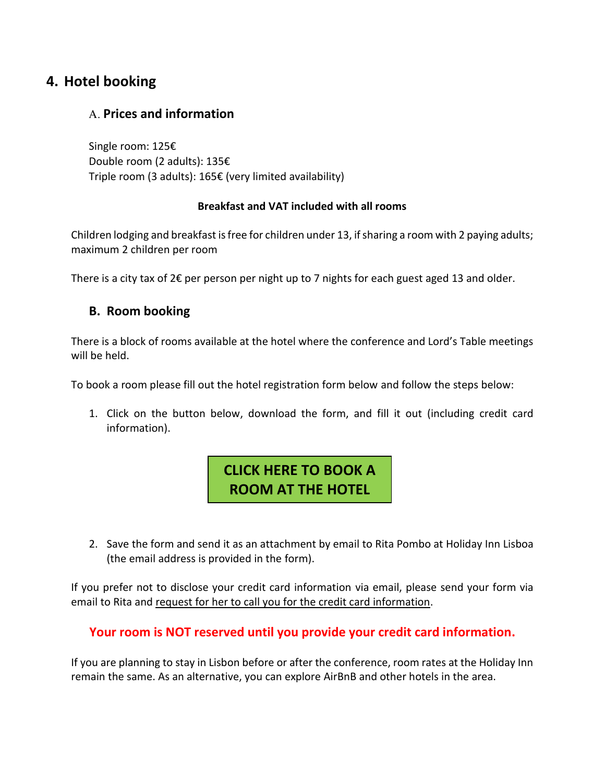# **4. Hotel booking**

## Α. **Prices and information**

Single room: 125€ Double room (2 adults): 135€ Triple room (3 adults): 165€ (very limited availability)

## **Breakfast and VAT included with all rooms**

Children lodging and breakfast is free for children under 13, if sharing a room with 2 paying adults; maximum 2 children per room

There is a city tax of  $2 \epsilon$  per person per night up to 7 nights for each guest aged 13 and older.

## **B. Room booking**

There is a block of rooms available at the hotel where the conference and Lord's Table meetings will be held.

To book a room please fill out the hotel registration form below and follow the steps below:

1. Click on the button below, download the form, and fill it out (including credit card information).

# **[CLICK HERE TO BOOK A](https://laobramspi-my.sharepoint.com/:w:/g/personal/mspi_laobramspi_es/Ebr1b8P3hwBHsByDA_ejiBcB0wcgmDSun0elzw002Bce8Q?e=JcRuHf)  ROOM AT THE HOTEL**

2. Save the form and send it as an attachment by email to Rita Pombo at Holiday Inn Lisboa (the email address is provided in the form).

If you prefer not to disclose your credit card information via email, please send your form via email to Rita and request for her to call you for the credit card information.

## **Your room is NOT reserved until you provide your credit card information.**

If you are planning to stay in Lisbon before or after the conference, room rates at the Holiday Inn remain the same. As an alternative, you can explore AirBnB and other hotels in the area.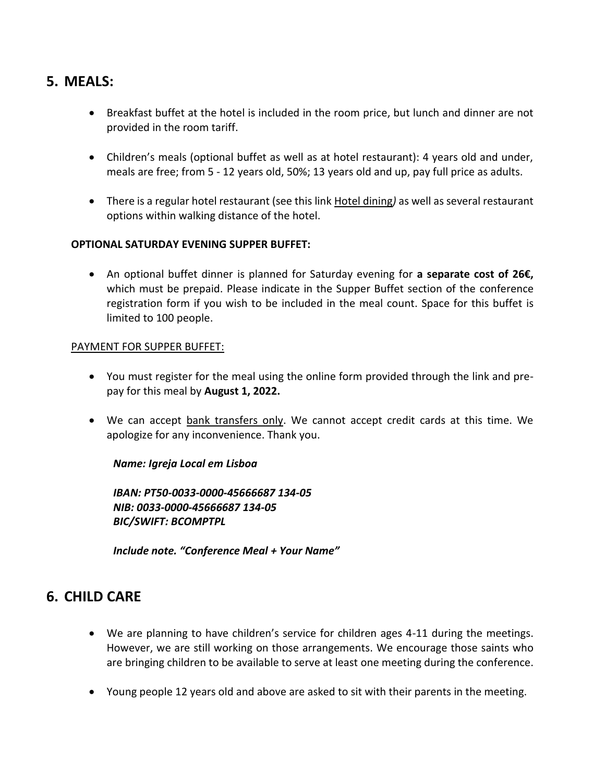# **5. MEALS:**

- Breakfast buffet at the hotel is included in the room price, but lunch and dinner are not provided in the room tariff.
- Children's meals (optional buffet as well as at hotel restaurant): 4 years old and under, meals are free; from 5 - 12 years old, 50%; 13 years old and up, pay full price as adults.
- There is a regular hotel restaurant (see this link [Hotel dining](https://www.ihg.com/holidayinn/hotels/us/en/lisbon/lispo/hoteldetail/dining)*)* as well as several restaurant options within walking distance of the hotel.

#### **OPTIONAL SATURDAY EVENING SUPPER BUFFET:**

• An optional buffet dinner is planned for Saturday evening for **a separate cost of 26€,** which must be prepaid. Please indicate in the Supper Buffet section of the conference registration form if you wish to be included in the meal count. Space for this buffet is limited to 100 people.

#### PAYMENT FOR SUPPER BUFFET:

- You must register for the meal using the online form provided through the link and prepay for this meal by **August 1, 2022.**
- We can accept bank transfers only. We cannot accept credit cards at this time. We apologize for any inconvenience. Thank you.

## *Name: Igreja Local em Lisboa*

*IBAN: PT50-0033-0000-45666687 134-05 NIB: 0033-0000-45666687 134-05 BIC/SWIFT: BCOMPTPL*

*Include note. "Conference Meal + Your Name"*

# **6. CHILD CARE**

- We are planning to have children's service for children ages 4-11 during the meetings. However, we are still working on those arrangements. We encourage those saints who are bringing children to be available to serve at least one meeting during the conference.
- Young people 12 years old and above are asked to sit with their parents in the meeting.